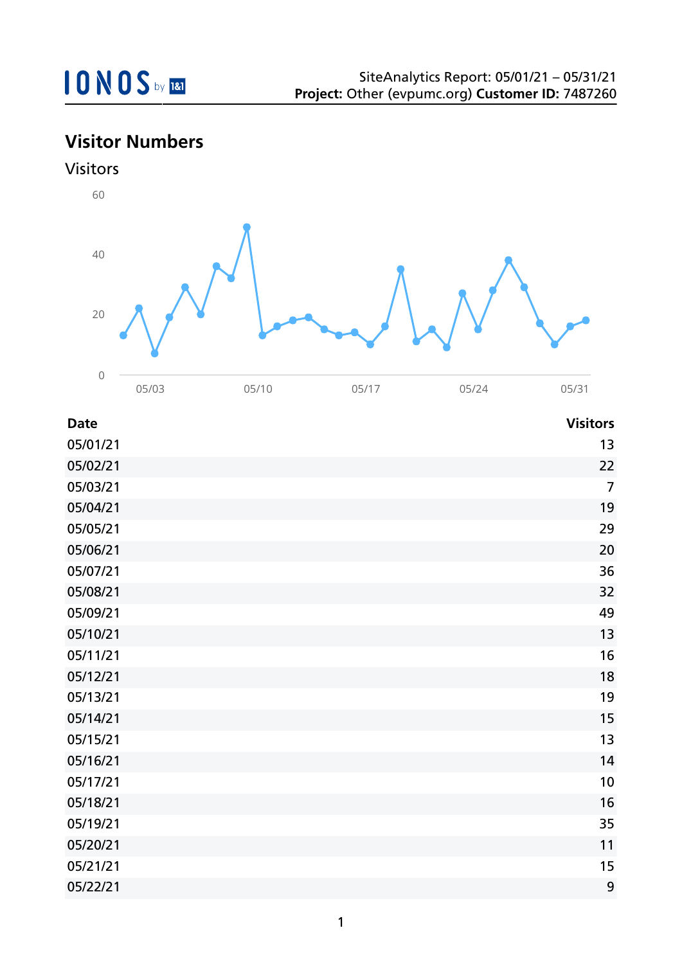

## **Visitor Numbers**





| <b>Date</b> | <b>Visitors</b> |
|-------------|-----------------|
| 05/01/21    | 13              |
| 05/02/21    | 22              |
| 05/03/21    | $\overline{7}$  |
| 05/04/21    | 19              |
| 05/05/21    | 29              |
| 05/06/21    | 20              |
| 05/07/21    | 36              |
| 05/08/21    | 32              |
| 05/09/21    | 49              |
| 05/10/21    | 13              |
| 05/11/21    | 16              |
| 05/12/21    | 18              |
| 05/13/21    | 19              |
| 05/14/21    | 15              |
| 05/15/21    | 13              |
| 05/16/21    | 14              |
| 05/17/21    | 10              |
| 05/18/21    | 16              |
| 05/19/21    | 35              |
| 05/20/21    | 11              |
| 05/21/21    | 15              |
| 05/22/21    | 9               |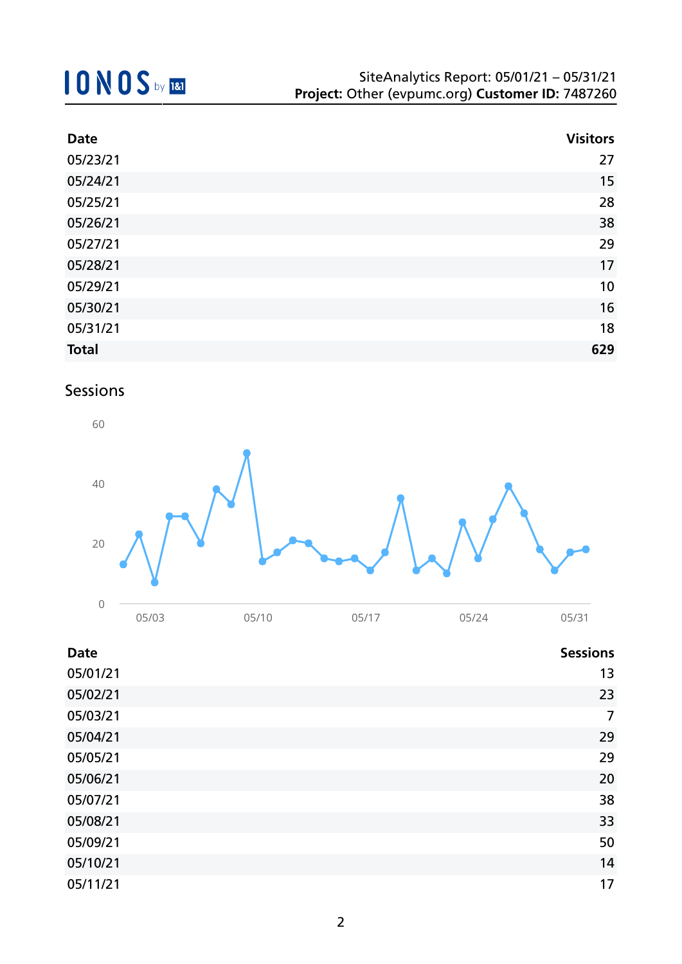| <b>Date</b>  | <b>Visitors</b> |
|--------------|-----------------|
| 05/23/21     | 27              |
| 05/24/21     | 15              |
| 05/25/21     | 28              |
| 05/26/21     | 38              |
| 05/27/21     | 29              |
| 05/28/21     | 17              |
| 05/29/21     | 10              |
| 05/30/21     | 16              |
| 05/31/21     | 18              |
| <b>Total</b> | 629             |

## Sessions



| <b>Date</b> | <b>Sessions</b> |
|-------------|-----------------|
| 05/01/21    | 13              |
| 05/02/21    | 23              |
| 05/03/21    | $\overline{7}$  |
| 05/04/21    | 29              |
| 05/05/21    | 29              |
| 05/06/21    | 20              |
| 05/07/21    | 38              |
| 05/08/21    | 33              |
| 05/09/21    | 50              |
| 05/10/21    | 14              |
| 05/11/21    | 17              |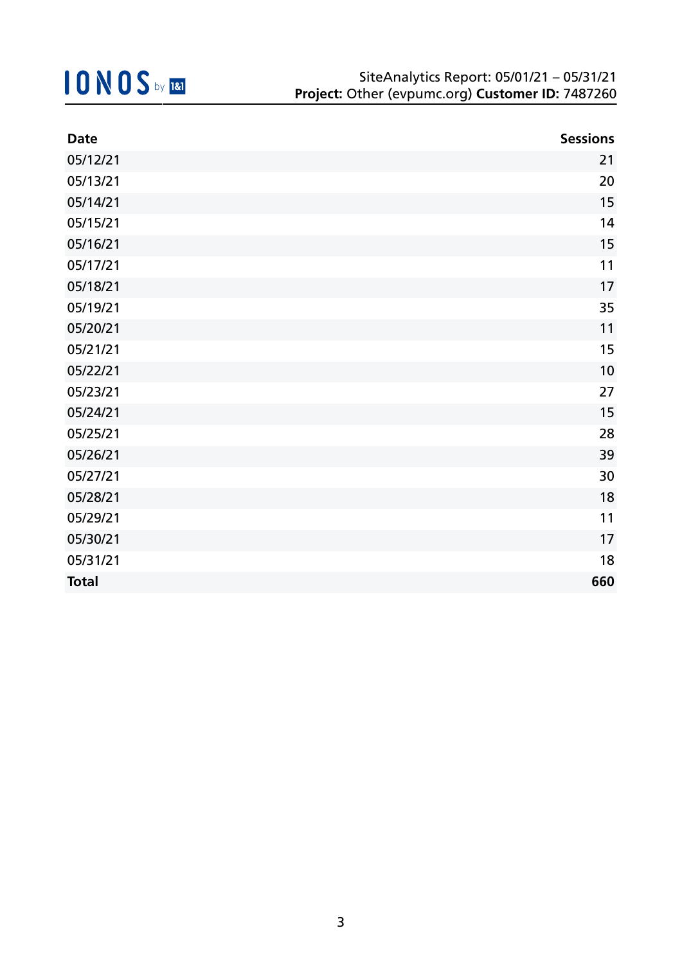| <b>Date</b>  | <b>Sessions</b> |
|--------------|-----------------|
| 05/12/21     | 21              |
| 05/13/21     | 20              |
| 05/14/21     | 15              |
| 05/15/21     | 14              |
| 05/16/21     | 15              |
| 05/17/21     | 11              |
| 05/18/21     | 17              |
| 05/19/21     | 35              |
| 05/20/21     | 11              |
| 05/21/21     | 15              |
| 05/22/21     | 10              |
| 05/23/21     | 27              |
| 05/24/21     | 15              |
| 05/25/21     | 28              |
| 05/26/21     | 39              |
| 05/27/21     | 30              |
| 05/28/21     | 18              |
| 05/29/21     | 11              |
| 05/30/21     | 17              |
| 05/31/21     | 18              |
| <b>Total</b> | 660             |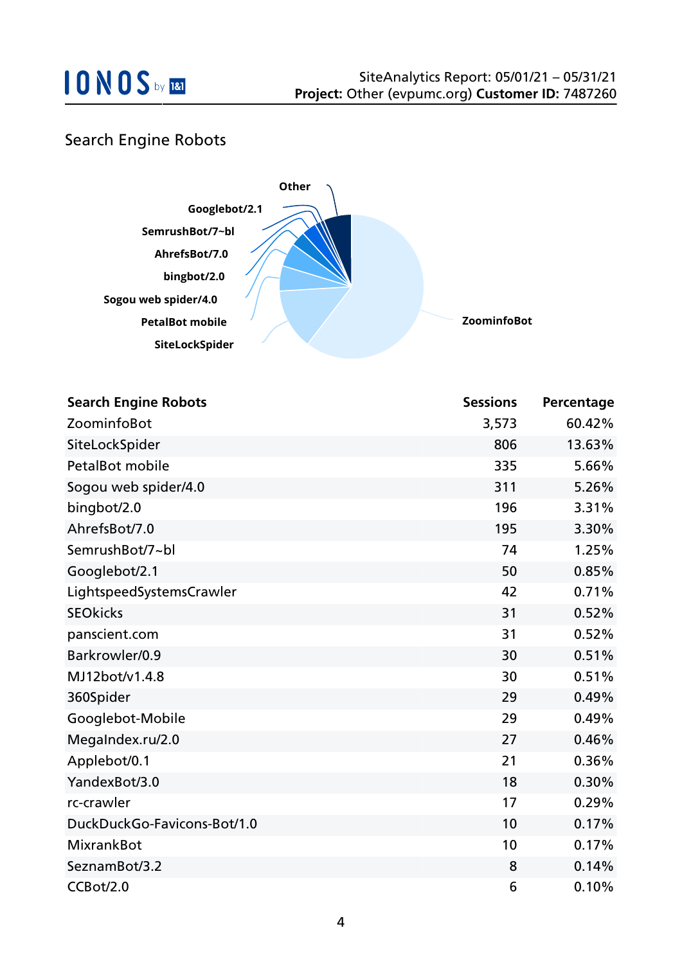## Search Engine Robots



| <b>Search Engine Robots</b> | <b>Sessions</b> | Percentage |
|-----------------------------|-----------------|------------|
| ZoominfoBot                 | 3,573           | 60.42%     |
| SiteLockSpider              | 806             | 13.63%     |
| <b>PetalBot mobile</b>      | 335             | 5.66%      |
| Sogou web spider/4.0        | 311             | 5.26%      |
| bingbot/2.0                 | 196             | 3.31%      |
| AhrefsBot/7.0               | 195             | 3.30%      |
| SemrushBot/7~bl             | 74              | 1.25%      |
| Googlebot/2.1               | 50              | 0.85%      |
| LightspeedSystemsCrawler    | 42              | 0.71%      |
| <b>SEOkicks</b>             | 31              | 0.52%      |
| panscient.com               | 31              | 0.52%      |
| Barkrowler/0.9              | 30              | 0.51%      |
| MJ12bot/v1.4.8              | 30              | 0.51%      |
| 360Spider                   | 29              | 0.49%      |
| Googlebot-Mobile            | 29              | 0.49%      |
| MegaIndex.ru/2.0            | 27              | 0.46%      |
| Applebot/0.1                | 21              | 0.36%      |
| YandexBot/3.0               | 18              | 0.30%      |
| rc-crawler                  | 17              | 0.29%      |
| DuckDuckGo-Favicons-Bot/1.0 | 10              | 0.17%      |
| <b>MixrankBot</b>           | 10              | 0.17%      |
| SeznamBot/3.2               | 8               | 0.14%      |
| CCBot/2.0                   | 6               | 0.10%      |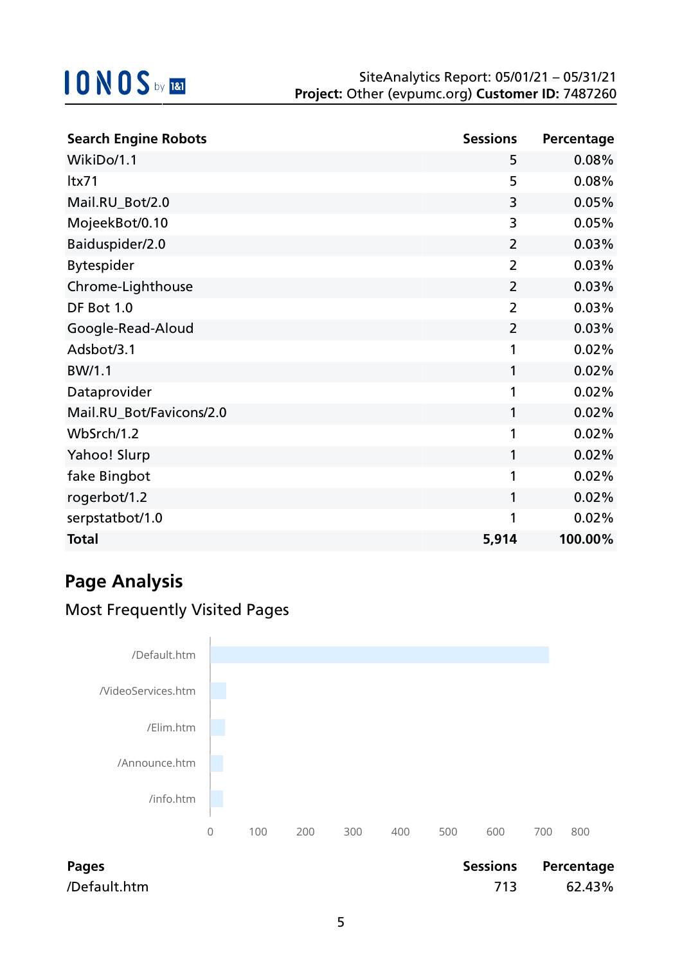| <b>Search Engine Robots</b> | <b>Sessions</b> | Percentage |
|-----------------------------|-----------------|------------|
| WikiDo/1.1                  | 5               | 0.08%      |
| ltx71                       | 5               | 0.08%      |
| Mail.RU_Bot/2.0             | 3               | 0.05%      |
| MojeekBot/0.10              | 3               | 0.05%      |
| Baiduspider/2.0             | $\overline{2}$  | 0.03%      |
| <b>Bytespider</b>           | $\overline{2}$  | 0.03%      |
| Chrome-Lighthouse           | $\overline{2}$  | 0.03%      |
| DF Bot 1.0                  | $\overline{2}$  | 0.03%      |
| Google-Read-Aloud           | $\overline{2}$  | 0.03%      |
| Adsbot/3.1                  | 1               | 0.02%      |
| BW/1.1                      | 1               | 0.02%      |
| Dataprovider                | 1               | 0.02%      |
| Mail.RU_Bot/Favicons/2.0    | 1               | 0.02%      |
| WbSrch/1.2                  | 1               | 0.02%      |
| Yahoo! Slurp                | 1               | 0.02%      |
| fake Bingbot                | 1               | 0.02%      |
| rogerbot/1.2                | 1               | 0.02%      |
| serpstatbot/1.0             | 1               | 0.02%      |
| <b>Total</b>                | 5,914           | 100.00%    |

## **Page Analysis**

## Most Frequently Visited Pages

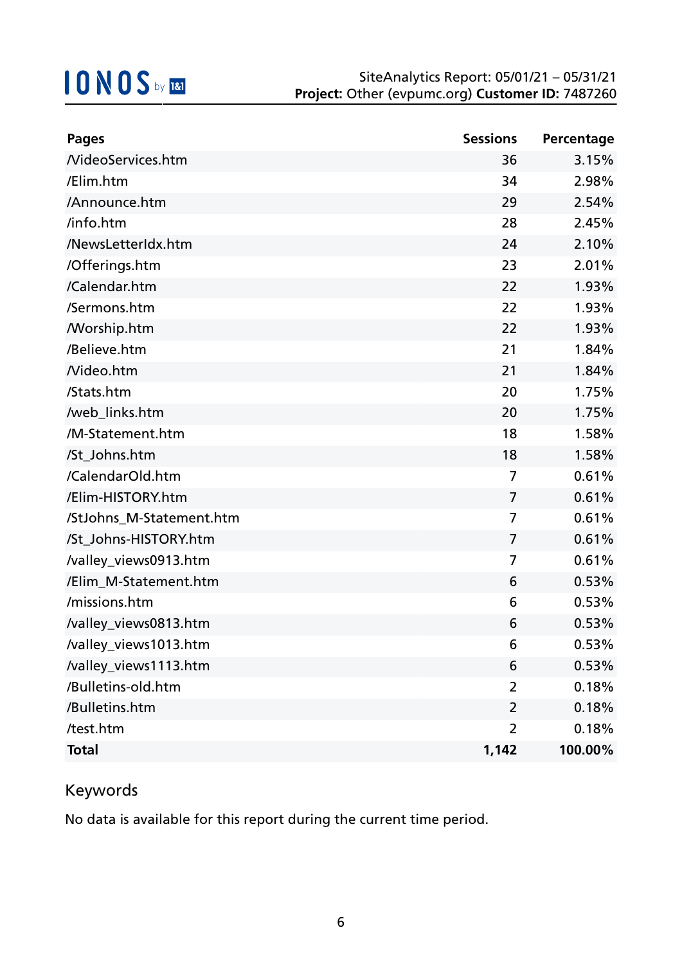| <b>Pages</b>             | <b>Sessions</b> | Percentage |
|--------------------------|-----------------|------------|
| <b>NideoServices.htm</b> | 36              | 3.15%      |
| /Elim.htm                | 34              | 2.98%      |
| /Announce.htm            | 29              | 2.54%      |
| /info.htm                | 28              | 2.45%      |
| /NewsLetterIdx.htm       | 24              | 2.10%      |
| /Offerings.htm           | 23              | 2.01%      |
| /Calendar.htm            | 22              | 1.93%      |
| /Sermons.htm             | 22              | 1.93%      |
| <b>Morship.htm</b>       | 22              | 1.93%      |
| /Believe.htm             | 21              | 1.84%      |
| Nideo.htm                | 21              | 1.84%      |
| /Stats.htm               | 20              | 1.75%      |
| /web_links.htm           | 20              | 1.75%      |
| /M-Statement.htm         | 18              | 1.58%      |
| /St_Johns.htm            | 18              | 1.58%      |
| /CalendarOld.htm         | 7               | 0.61%      |
| /Elim-HISTORY.htm        | $\overline{7}$  | 0.61%      |
| /StJohns_M-Statement.htm | 7               | 0.61%      |
| /St_Johns-HISTORY.htm    | $\overline{7}$  | 0.61%      |
| /valley_views0913.htm    | 7               | 0.61%      |
| /Elim_M-Statement.htm    | 6               | 0.53%      |
| /missions.htm            | 6               | 0.53%      |
| /valley_views0813.htm    | 6               | 0.53%      |
| /valley_views1013.htm    | 6               | 0.53%      |
| /valley_views1113.htm    | 6               | 0.53%      |
| /Bulletins-old.htm       | $\overline{2}$  | 0.18%      |
| /Bulletins.htm           | $\overline{2}$  | 0.18%      |
| /test.htm                | $\overline{2}$  | 0.18%      |
| <b>Total</b>             | 1,142           | 100.00%    |

## Keywords

No data is available for this report during the current time period.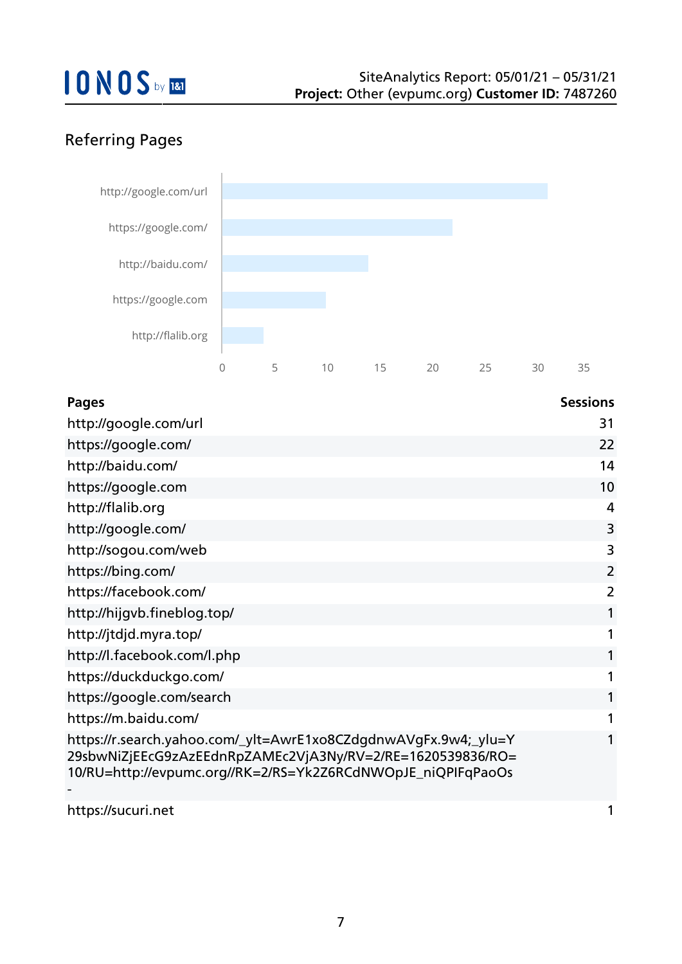## Referring Pages



| <b>Pages</b>                                                                                                                                                                                  | <b>Sessions</b> |
|-----------------------------------------------------------------------------------------------------------------------------------------------------------------------------------------------|-----------------|
| http://google.com/url                                                                                                                                                                         | 31              |
| https://google.com/                                                                                                                                                                           | 22              |
| http://baidu.com/                                                                                                                                                                             | 14              |
| https://google.com                                                                                                                                                                            | 10              |
| http://flalib.org                                                                                                                                                                             | $\overline{4}$  |
| http://google.com/                                                                                                                                                                            | 3               |
| http://sogou.com/web                                                                                                                                                                          | 3               |
| https://bing.com/                                                                                                                                                                             | $\overline{2}$  |
| https://facebook.com/                                                                                                                                                                         | $\overline{2}$  |
| http://hijgvb.fineblog.top/                                                                                                                                                                   |                 |
| http://jtdjd.myra.top/                                                                                                                                                                        |                 |
| http://l.facebook.com/l.php                                                                                                                                                                   |                 |
| https://duckduckgo.com/                                                                                                                                                                       |                 |
| https://google.com/search                                                                                                                                                                     |                 |
| https://m.baidu.com/                                                                                                                                                                          |                 |
| https://r.search.yahoo.com/_ylt=AwrE1xo8CZdgdnwAVgFx.9w4;_ylu=Y<br>29sbwNiZjEEcG9zAzEEdnRpZAMEc2VjA3Ny/RV=2/RE=1620539836/RO=<br>10/RU=http://evpumc.org//RK=2/RS=Yk2Z6RCdNWOpJE_niQPIFqPaoOs |                 |
| https://sucuri.net                                                                                                                                                                            |                 |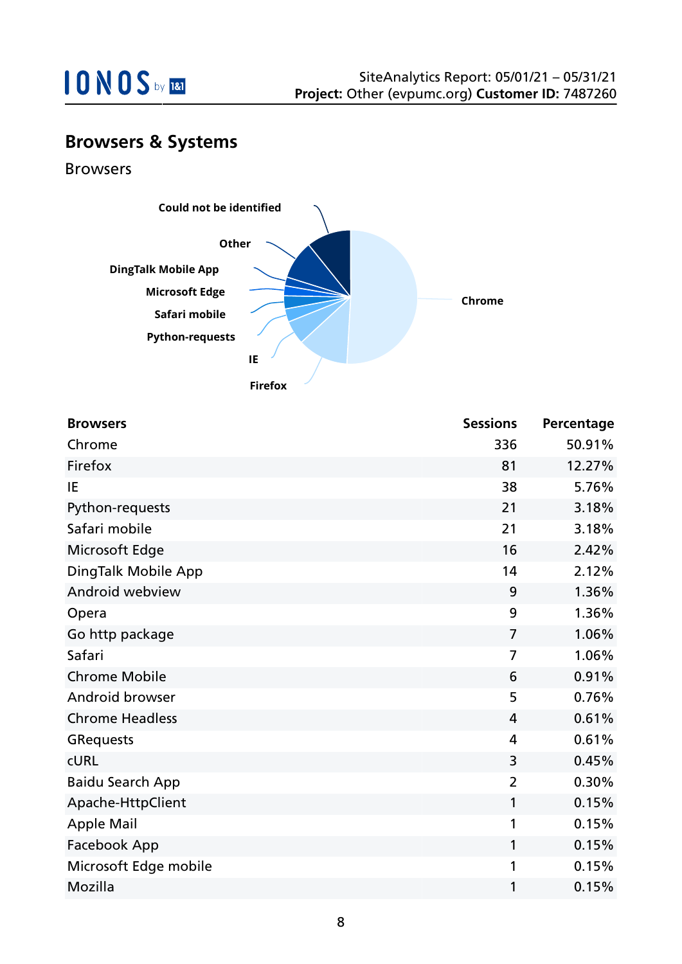

## **Browsers & Systems**

Browsers



| <b>Browsers</b>         | <b>Sessions</b> | Percentage |
|-------------------------|-----------------|------------|
| Chrome                  | 336             | 50.91%     |
| Firefox                 | 81              | 12.27%     |
| IE                      | 38              | 5.76%      |
| Python-requests         | 21              | 3.18%      |
| Safari mobile           | 21              | 3.18%      |
| Microsoft Edge          | 16              | 2.42%      |
| DingTalk Mobile App     | 14              | 2.12%      |
| Android webview         | 9               | 1.36%      |
| Opera                   | 9               | 1.36%      |
| Go http package         | $\overline{7}$  | 1.06%      |
| Safari                  | $\overline{7}$  | 1.06%      |
| <b>Chrome Mobile</b>    | 6               | 0.91%      |
| Android browser         | 5               | 0.76%      |
| <b>Chrome Headless</b>  | 4               | 0.61%      |
| <b>GRequests</b>        | 4               | 0.61%      |
| <b>CURL</b>             | 3               | 0.45%      |
| <b>Baidu Search App</b> | $\overline{2}$  | 0.30%      |
| Apache-HttpClient       | 1               | 0.15%      |
| <b>Apple Mail</b>       | 1               | 0.15%      |
| Facebook App            | 1               | 0.15%      |
| Microsoft Edge mobile   | 1               | 0.15%      |
| Mozilla                 | 1               | 0.15%      |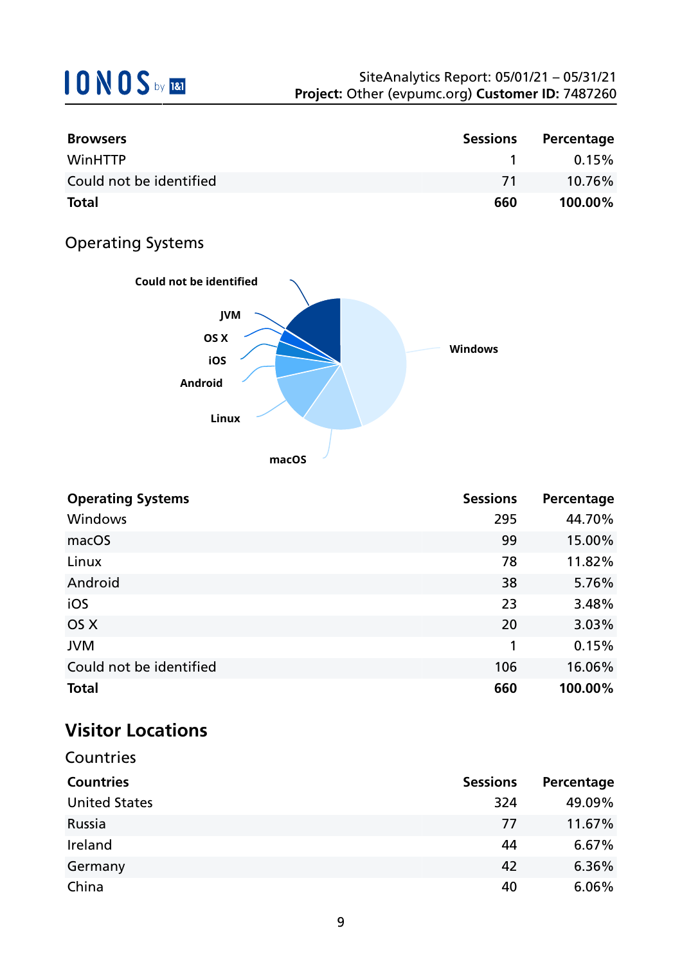| <b>Browsers</b>         | <b>Sessions</b> | Percentage |
|-------------------------|-----------------|------------|
| WinHTTP                 |                 | $0.15\%$   |
| Could not be identified | -71             | 10.76%     |
| <b>Total</b>            | 660             | 100.00%    |

## Operating Systems



| <b>Operating Systems</b> | <b>Sessions</b> | Percentage |
|--------------------------|-----------------|------------|
| Windows                  | 295             | 44.70%     |
| macOS                    | 99              | 15.00%     |
| Linux                    | 78              | 11.82%     |
| Android                  | 38              | 5.76%      |
| iOS                      | 23              | 3.48%      |
| OS X                     | 20              | 3.03%      |
| <b>JVM</b>               | 1               | 0.15%      |
| Could not be identified  | 106             | 16.06%     |
| <b>Total</b>             | 660             | 100.00%    |

## **Visitor Locations**

| Countries            |                 |            |
|----------------------|-----------------|------------|
| <b>Countries</b>     | <b>Sessions</b> | Percentage |
| <b>United States</b> | 324             | 49.09%     |
| Russia               | 77              | 11.67%     |
| Ireland              | 44              | 6.67%      |
| Germany              | 42              | 6.36%      |
| China                | 40              | 6.06%      |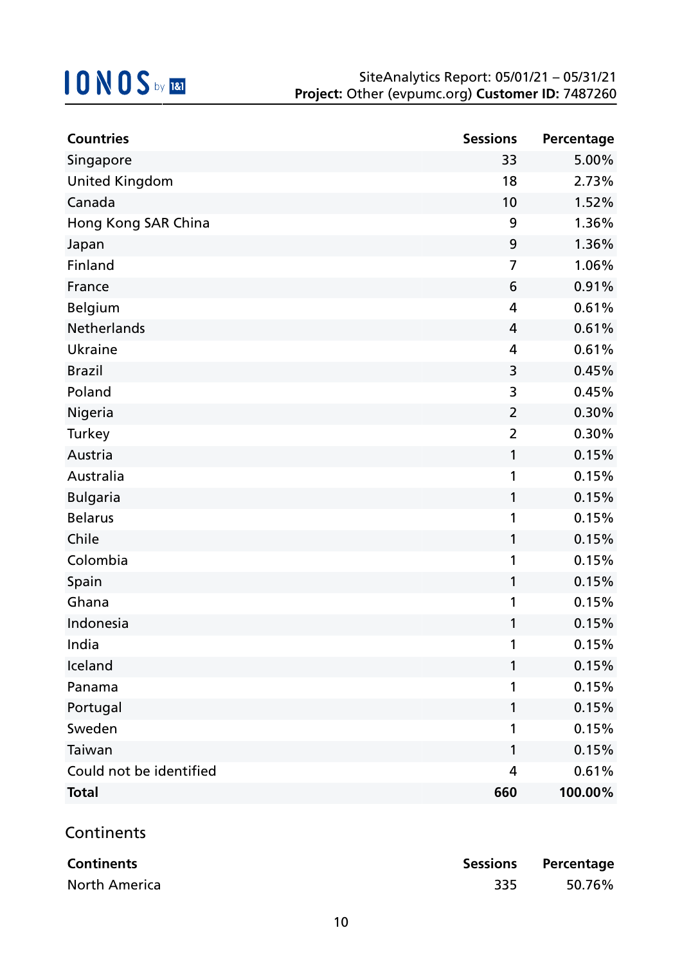| <b>Countries</b>        | <b>Sessions</b> | Percentage |
|-------------------------|-----------------|------------|
| Singapore               | 33              | 5.00%      |
| <b>United Kingdom</b>   | 18              | 2.73%      |
| Canada                  | 10              | 1.52%      |
| Hong Kong SAR China     | 9               | 1.36%      |
| Japan                   | 9               | 1.36%      |
| Finland                 | 7               | 1.06%      |
| France                  | 6               | 0.91%      |
| Belgium                 | 4               | 0.61%      |
| Netherlands             | 4               | 0.61%      |
| Ukraine                 | 4               | 0.61%      |
| <b>Brazil</b>           | 3               | 0.45%      |
| Poland                  | 3               | 0.45%      |
| Nigeria                 | $\overline{2}$  | 0.30%      |
| Turkey                  | $\overline{2}$  | 0.30%      |
| Austria                 | $\mathbf{1}$    | 0.15%      |
| Australia               | 1               | 0.15%      |
| <b>Bulgaria</b>         | 1               | 0.15%      |
| <b>Belarus</b>          | 1               | 0.15%      |
| Chile                   | 1               | 0.15%      |
| Colombia                | 1               | 0.15%      |
| Spain                   | 1               | 0.15%      |
| Ghana                   | 1               | 0.15%      |
| Indonesia               | 1               | 0.15%      |
| India                   |                 | 0.15%      |
| Iceland                 | 1               | 0.15%      |
| Panama                  | 1               | 0.15%      |
| Portugal                | 1               | 0.15%      |
| Sweden                  | 1               | 0.15%      |
| Taiwan                  | 1               | 0.15%      |
| Could not be identified | 4               | 0.61%      |
| <b>Total</b>            | 660             | 100.00%    |

### **Continents**

| <b>Continents</b>    |     | Sessions Percentage |
|----------------------|-----|---------------------|
| <b>North America</b> | 335 | 50.76%              |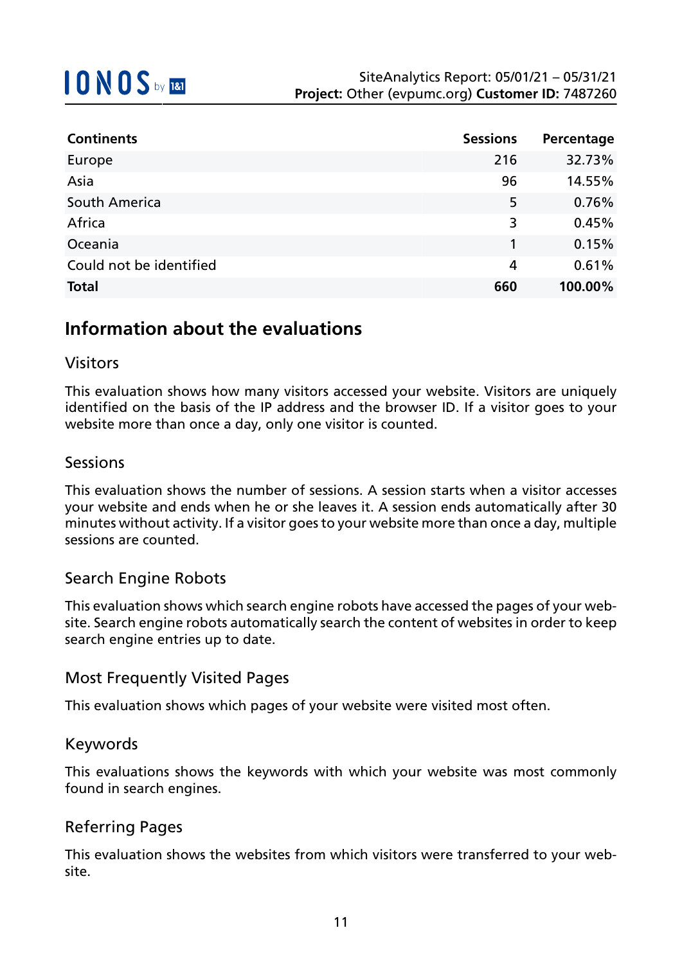| <b>Continents</b>       | <b>Sessions</b> | Percentage |
|-------------------------|-----------------|------------|
| Europe                  | 216             | 32.73%     |
| Asia                    | 96              | 14.55%     |
| South America           | 5               | 0.76%      |
| Africa                  | 3               | 0.45%      |
| Oceania                 | 1               | 0.15%      |
| Could not be identified | 4               | 0.61%      |
| <b>Total</b>            | 660             | 100.00%    |

## **Information about the evaluations**

### Visitors

This evaluation shows how many visitors accessed your website. Visitors are uniquely identified on the basis of the IP address and the browser ID. If a visitor goes to your website more than once a day, only one visitor is counted.

### Sessions

This evaluation shows the number of sessions. A session starts when a visitor accesses your website and ends when he or she leaves it. A session ends automatically after 30 minutes without activity. If a visitor goes to your website more than once a day, multiple sessions are counted.

### Search Engine Robots

This evaluation shows which search engine robots have accessed the pages of your website. Search engine robots automatically search the content of websites in order to keep search engine entries up to date.

### Most Frequently Visited Pages

This evaluation shows which pages of your website were visited most often.

#### Keywords

This evaluations shows the keywords with which your website was most commonly found in search engines.

### Referring Pages

This evaluation shows the websites from which visitors were transferred to your website.